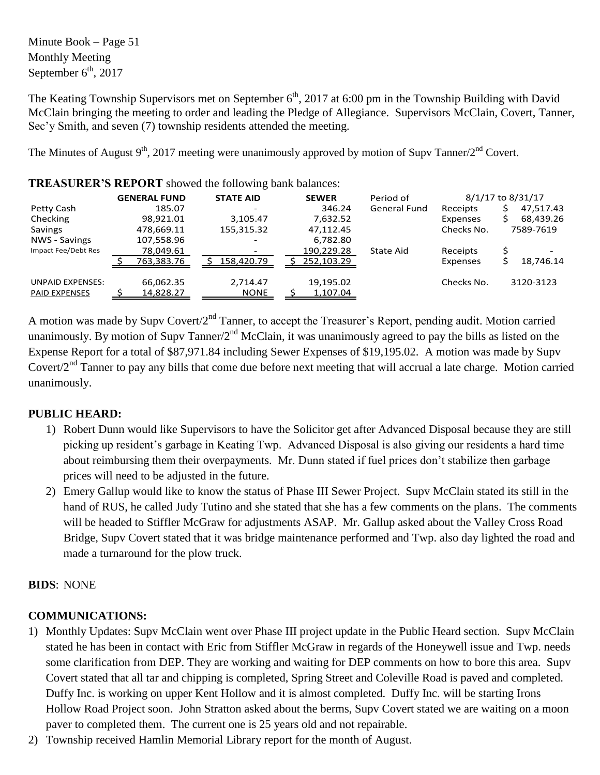Minute Book – Page 51 Monthly Meeting September  $6<sup>th</sup>$ , 2017

The Keating Township Supervisors met on September  $6<sup>th</sup>$ , 2017 at 6:00 pm in the Township Building with David McClain bringing the meeting to order and leading the Pledge of Allegiance. Supervisors McClain, Covert, Tanner, Sec'y Smith, and seven (7) township residents attended the meeting.

The Minutes of August 9<sup>th</sup>, 2017 meeting were unanimously approved by motion of Supv Tanner/2<sup>nd</sup> Covert.

|                                                 | <b>GENERAL FUND</b>    | <b>STATE AID</b>        | <b>SEWER</b>          | Period of           |            | 8/1/17 to 8/31/17 |
|-------------------------------------------------|------------------------|-------------------------|-----------------------|---------------------|------------|-------------------|
| Petty Cash                                      | 185.07                 |                         | 346.24                | <b>General Fund</b> | Receipts   | 47,517.43         |
| Checking                                        | 98,921.01              | 3,105.47                | 7,632.52              |                     | Expenses   | 68,439.26         |
| Savings                                         | 478,669.11             | 155,315.32              | 47,112.45             |                     | Checks No. | 7589-7619         |
| <b>NWS - Savings</b>                            | 107,558.96             |                         | 6,782.80              |                     |            |                   |
| Impact Fee/Debt Res                             | 78,049.61              |                         | 190,229.28            | State Aid           | Receipts   |                   |
|                                                 | 763,383.76             | 158,420.79              | 252,103.29            |                     | Expenses   | 18,746.14         |
| <b>UNPAID EXPENSES:</b><br><b>PAID EXPENSES</b> | 66,062.35<br>14,828.27 | 2,714.47<br><b>NONE</b> | 19,195.02<br>1,107.04 |                     | Checks No. | 3120-3123         |
|                                                 |                        |                         |                       |                     |            |                   |

**TREASURER'S REPORT** showed the following bank balances:

A motion was made by Supv Covert/2nd Tanner, to accept the Treasurer's Report, pending audit. Motion carried unanimously. By motion of Supy Tanner/ $2<sup>nd</sup>$  McClain, it was unanimously agreed to pay the bills as listed on the Expense Report for a total of \$87,971.84 including Sewer Expenses of \$19,195.02. A motion was made by Supv Covert/2<sup>nd</sup> Tanner to pay any bills that come due before next meeting that will accrual a late charge. Motion carried unanimously.

# **PUBLIC HEARD:**

- 1) Robert Dunn would like Supervisors to have the Solicitor get after Advanced Disposal because they are still picking up resident's garbage in Keating Twp. Advanced Disposal is also giving our residents a hard time about reimbursing them their overpayments. Mr. Dunn stated if fuel prices don't stabilize then garbage prices will need to be adjusted in the future.
- 2) Emery Gallup would like to know the status of Phase III Sewer Project. Supv McClain stated its still in the hand of RUS, he called Judy Tutino and she stated that she has a few comments on the plans. The comments will be headed to Stiffler McGraw for adjustments ASAP. Mr. Gallup asked about the Valley Cross Road Bridge, Supv Covert stated that it was bridge maintenance performed and Twp. also day lighted the road and made a turnaround for the plow truck.

# **BIDS**: NONE

# **COMMUNICATIONS:**

- 1) Monthly Updates: Supv McClain went over Phase III project update in the Public Heard section. Supv McClain stated he has been in contact with Eric from Stiffler McGraw in regards of the Honeywell issue and Twp. needs some clarification from DEP. They are working and waiting for DEP comments on how to bore this area. Supv Covert stated that all tar and chipping is completed, Spring Street and Coleville Road is paved and completed. Duffy Inc. is working on upper Kent Hollow and it is almost completed. Duffy Inc. will be starting Irons Hollow Road Project soon. John Stratton asked about the berms, Supv Covert stated we are waiting on a moon paver to completed them. The current one is 25 years old and not repairable.
- 2) Township received Hamlin Memorial Library report for the month of August.